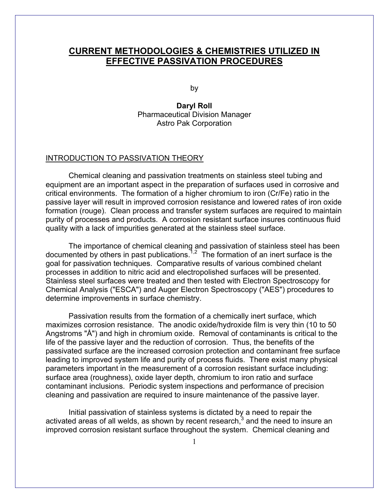# **CURRENT METHODOLOGIES & CHEMISTRIES UTILIZED IN EFFECTIVE PASSIVATION PROCEDURES**

by

**Daryl Roll**  Pharmaceutical Division Manager Astro Pak Corporation

# INTRODUCTION TO PASSIVATION THEORY

Chemical cleaning and passivation treatments on stainless steel tubing and equipment are an important aspect in the preparation of surfaces used in corrosive and critical environments. The formation of a higher chromium to iron (Cr/Fe) ratio in the passive layer will result in improved corrosion resistance and lowered rates of iron oxide formation (rouge). Clean process and transfer system surfaces are required to maintain purity of processes and products. A corrosion resistant surface insures continuous fluid quality with a lack of impurities generated at the stainless steel surface.

The importance of chemical cleaning and passivation of stainless steel has been documented by others in past publications.1,2 The formation of an inert surface is the goal for passivation techniques. Comparative results of various combined chelant processes in addition to nitric acid and electropolished surfaces will be presented. Stainless steel surfaces were treated and then tested with Electron Spectroscopy for Chemical Analysis ("ESCA") and Auger Electron Spectroscopy ("AES") procedures to determine improvements in surface chemistry.

Passivation results from the formation of a chemically inert surface, which maximizes corrosion resistance. The anodic oxide/hydroxide film is very thin (10 to 50 Angstroms "Å") and high in chromium oxide. Removal of contaminants is critical to the life of the passive layer and the reduction of corrosion. Thus, the benefits of the passivated surface are the increased corrosion protection and contaminant free surface leading to improved system life and purity of process fluids. There exist many physical parameters important in the measurement of a corrosion resistant surface including: surface area (roughness), oxide layer depth, chromium to iron ratio and surface contaminant inclusions. Periodic system inspections and performance of precision cleaning and passivation are required to insure maintenance of the passive layer.

Initial passivation of stainless systems is dictated by a need to repair the activated areas of all welds, as shown by recent research, $3$  and the need to insure an improved corrosion resistant surface throughout the system. Chemical cleaning and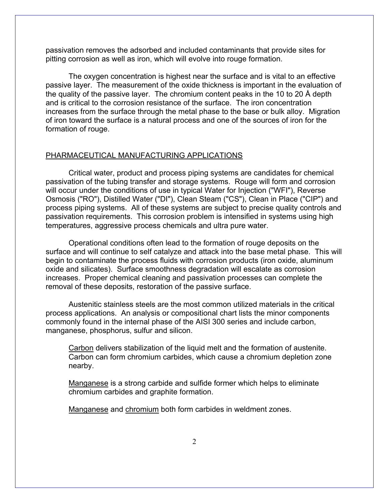passivation removes the adsorbed and included contaminants that provide sites for pitting corrosion as well as iron, which will evolve into rouge formation.

The oxygen concentration is highest near the surface and is vital to an effective passive layer. The measurement of the oxide thickness is important in the evaluation of the quality of the passive layer. The chromium content peaks in the 10 to 20 Å depth and is critical to the corrosion resistance of the surface. The iron concentration increases from the surface through the metal phase to the base or bulk alloy. Migration of iron toward the surface is a natural process and one of the sources of iron for the formation of rouge.

### PHARMACEUTICAL MANUFACTURING APPLICATIONS

Critical water, product and process piping systems are candidates for chemical passivation of the tubing transfer and storage systems. Rouge will form and corrosion will occur under the conditions of use in typical Water for Injection ("WFI"), Reverse Osmosis ("RO"), Distilled Water ("DI"), Clean Steam ("CS"), Clean in Place ("CIP") and process piping systems. All of these systems are subject to precise quality controls and passivation requirements. This corrosion problem is intensified in systems using high temperatures, aggressive process chemicals and ultra pure water.

Operational conditions often lead to the formation of rouge deposits on the surface and will continue to self catalyze and attack into the base metal phase. This will begin to contaminate the process fluids with corrosion products (iron oxide, aluminum oxide and silicates). Surface smoothness degradation will escalate as corrosion increases. Proper chemical cleaning and passivation processes can complete the removal of these deposits, restoration of the passive surface.

Austenitic stainless steels are the most common utilized materials in the critical process applications. An analysis or compositional chart lists the minor components commonly found in the internal phase of the AISI 300 series and include carbon, manganese, phosphorus, sulfur and silicon.

Carbon delivers stabilization of the liquid melt and the formation of austenite. Carbon can form chromium carbides, which cause a chromium depletion zone nearby.

Manganese is a strong carbide and sulfide former which helps to eliminate chromium carbides and graphite formation.

Manganese and chromium both form carbides in weldment zones.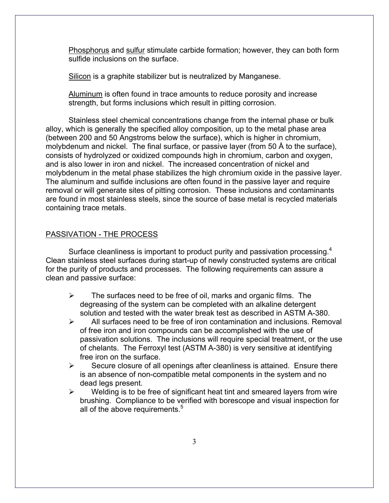Phosphorus and sulfur stimulate carbide formation; however, they can both form sulfide inclusions on the surface.

Silicon is a graphite stabilizer but is neutralized by Manganese.

Aluminum is often found in trace amounts to reduce porosity and increase strength, but forms inclusions which result in pitting corrosion.

Stainless steel chemical concentrations change from the internal phase or bulk alloy, which is generally the specified alloy composition, up to the metal phase area (between 200 and 50 Angstroms below the surface), which is higher in chromium, molybdenum and nickel. The final surface, or passive layer (from 50 Å to the surface), consists of hydrolyzed or oxidized compounds high in chromium, carbon and oxygen, and is also lower in iron and nickel. The increased concentration of nickel and molybdenum in the metal phase stabilizes the high chromium oxide in the passive layer. The aluminum and sulfide inclusions are often found in the passive layer and require removal or will generate sites of pitting corrosion. These inclusions and contaminants are found in most stainless steels, since the source of base metal is recycled materials containing trace metals.

### PASSIVATION - THE PROCESS

Surface cleanliness is important to product purity and passivation processing.<sup>4</sup> Clean stainless steel surfaces during start-up of newly constructed systems are critical for the purity of products and processes. The following requirements can assure a clean and passive surface:

- $\triangleright$  The surfaces need to be free of oil, marks and organic films. The degreasing of the system can be completed with an alkaline detergent solution and tested with the water break test as described in ASTM A-380.
- $\triangleright$  All surfaces need to be free of iron contamination and inclusions. Removal of free iron and iron compounds can be accomplished with the use of passivation solutions. The inclusions will require special treatment, or the use of chelants. The Ferroxyl test (ASTM A-380) is very sensitive at identifying free iron on the surface.
- $\triangleright$  Secure closure of all openings after cleanliness is attained. Ensure there is an absence of non-compatible metal components in the system and no dead legs present.
- $\triangleright$  Welding is to be free of significant heat tint and smeared layers from wire brushing. Compliance to be verified with borescope and visual inspection for all of the above requirements.<sup>5</sup>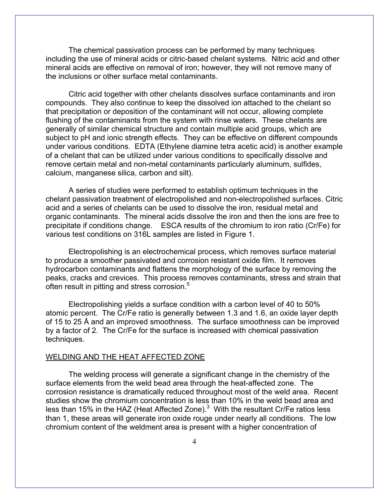The chemical passivation process can be performed by many techniques including the use of mineral acids or citric-based chelant systems. Nitric acid and other mineral acids are effective on removal of iron; however, they will not remove many of the inclusions or other surface metal contaminants.

Citric acid together with other chelants dissolves surface contaminants and iron compounds. They also continue to keep the dissolved ion attached to the chelant so that precipitation or deposition of the contaminant will not occur, allowing complete flushing of the contaminants from the system with rinse waters. These chelants are generally of similar chemical structure and contain multiple acid groups, which are subject to pH and ionic strength effects. They can be effective on different compounds under various conditions. EDTA (Ethylene diamine tetra acetic acid) is another example of a chelant that can be utilized under various conditions to specifically dissolve and remove certain metal and non-metal contaminants particularly aluminum, sulfides, calcium, manganese silica, carbon and silt).

A series of studies were performed to establish optimum techniques in the chelant passivation treatment of electropolished and non-electropolished surfaces. Citric acid and a series of chelants can be used to dissolve the iron, residual metal and organic contaminants. The mineral acids dissolve the iron and then the ions are free to precipitate if conditions change. ESCA results of the chromium to iron ratio (Cr/Fe) for various test conditions on 316L samples are listed in Figure 1.

Electropolishing is an electrochemical process, which removes surface material to produce a smoother passivated and corrosion resistant oxide film. It removes hydrocarbon contaminants and flattens the morphology of the surface by removing the peaks, cracks and crevices. This process removes contaminants, stress and strain that often result in pitting and stress corrosion.<sup>5</sup>

Electropolishing yields a surface condition with a carbon level of 40 to 50% atomic percent. The Cr/Fe ratio is generally between 1.3 and 1.6, an oxide layer depth of 15 to 25 Å and an improved smoothness. The surface smoothness can be improved by a factor of 2. The Cr/Fe for the surface is increased with chemical passivation techniques.

### WELDING AND THE HEAT AFFECTED ZONE

The welding process will generate a significant change in the chemistry of the surface elements from the weld bead area through the heat-affected zone. The corrosion resistance is dramatically reduced throughout most of the weld area. Recent studies show the chromium concentration is less than 10% in the weld bead area and less than 15% in the HAZ (Heat Affected Zone). $3$  With the resultant Cr/Fe ratios less than 1, these areas will generate iron oxide rouge under nearly all conditions. The low chromium content of the weldment area is present with a higher concentration of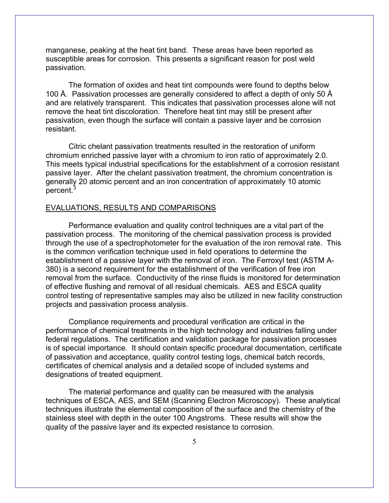manganese, peaking at the heat tint band. These areas have been reported as susceptible areas for corrosion. This presents a significant reason for post weld passivation.

The formation of oxides and heat tint compounds were found to depths below 100 Å. Passivation processes are generally considered to affect a depth of only 50 Å and are relatively transparent. This indicates that passivation processes alone will not remove the heat tint discoloration. Therefore heat tint may still be present after passivation, even though the surface will contain a passive layer and be corrosion resistant.

Citric chelant passivation treatments resulted in the restoration of uniform chromium enriched passive layer with a chromium to iron ratio of approximately 2.0. This meets typical industrial specifications for the establishment of a corrosion resistant passive layer. After the chelant passivation treatment, the chromium concentration is generally 20 atomic percent and an iron concentration of approximately 10 atomic percent.<sup>3</sup>

#### EVALUATIONS, RESULTS AND COMPARISONS

Performance evaluation and quality control techniques are a vital part of the passivation process. The monitoring of the chemical passivation process is provided through the use of a spectrophotometer for the evaluation of the iron removal rate. This is the common verification technique used in field operations to determine the establishment of a passive layer with the removal of iron. The Ferroxyl test (ASTM A-380) is a second requirement for the establishment of the verification of free iron removal from the surface. Conductivity of the rinse fluids is monitored for determination of effective flushing and removal of all residual chemicals. AES and ESCA quality control testing of representative samples may also be utilized in new facility construction projects and passivation process analysis.

Compliance requirements and procedural verification are critical in the performance of chemical treatments in the high technology and industries falling under federal regulations. The certification and validation package for passivation processes is of special importance. It should contain specific procedural documentation, certificate of passivation and acceptance, quality control testing logs, chemical batch records, certificates of chemical analysis and a detailed scope of included systems and designations of treated equipment.

The material performance and quality can be measured with the analysis techniques of ESCA, AES, and SEM (Scanning Electron Microscopy). These analytical techniques illustrate the elemental composition of the surface and the chemistry of the stainless steel with depth in the outer 100 Angstroms. These results will show the quality of the passive layer and its expected resistance to corrosion.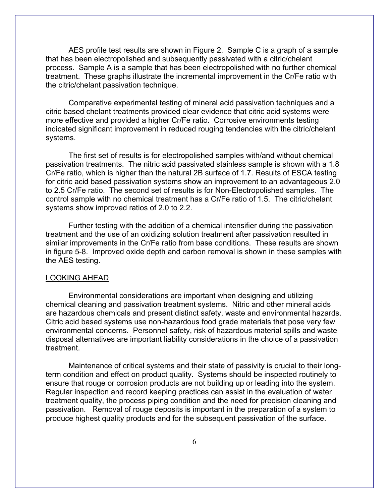AES profile test results are shown in Figure 2. Sample C is a graph of a sample that has been electropolished and subsequently passivated with a citric/chelant process. Sample A is a sample that has been electropolished with no further chemical treatment. These graphs illustrate the incremental improvement in the Cr/Fe ratio with the citric/chelant passivation technique.

Comparative experimental testing of mineral acid passivation techniques and a citric based chelant treatments provided clear evidence that citric acid systems were more effective and provided a higher Cr/Fe ratio. Corrosive environments testing indicated significant improvement in reduced rouging tendencies with the citric/chelant systems.

The first set of results is for electropolished samples with/and without chemical passivation treatments. The nitric acid passivated stainless sample is shown with a 1.8 Cr/Fe ratio, which is higher than the natural 2B surface of 1.7. Results of ESCA testing for citric acid based passivation systems show an improvement to an advantageous 2.0 to 2.5 Cr/Fe ratio. The second set of results is for Non-Electropolished samples. The control sample with no chemical treatment has a Cr/Fe ratio of 1.5. The citric/chelant systems show improved ratios of 2.0 to 2.2.

Further testing with the addition of a chemical intensifier during the passivation treatment and the use of an oxidizing solution treatment after passivation resulted in similar improvements in the Cr/Fe ratio from base conditions. These results are shown in figure 5-8. Improved oxide depth and carbon removal is shown in these samples with the AES testing.

#### LOOKING AHEAD

Environmental considerations are important when designing and utilizing chemical cleaning and passivation treatment systems. Nitric and other mineral acids are hazardous chemicals and present distinct safety, waste and environmental hazards. Citric acid based systems use non-hazardous food grade materials that pose very few environmental concerns. Personnel safety, risk of hazardous material spills and waste disposal alternatives are important liability considerations in the choice of a passivation treatment.

Maintenance of critical systems and their state of passivity is crucial to their longterm condition and effect on product quality. Systems should be inspected routinely to ensure that rouge or corrosion products are not building up or leading into the system. Regular inspection and record keeping practices can assist in the evaluation of water treatment quality, the process piping condition and the need for precision cleaning and passivation. Removal of rouge deposits is important in the preparation of a system to produce highest quality products and for the subsequent passivation of the surface.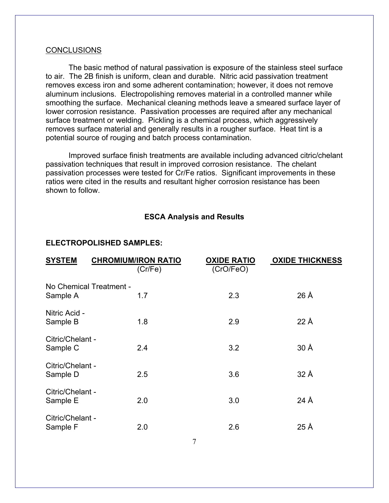#### CONCLUSIONS

The basic method of natural passivation is exposure of the stainless steel surface to air. The 2B finish is uniform, clean and durable. Nitric acid passivation treatment removes excess iron and some adherent contamination; however, it does not remove aluminum inclusions. Electropolishing removes material in a controlled manner while smoothing the surface. Mechanical cleaning methods leave a smeared surface layer of lower corrosion resistance. Passivation processes are required after any mechanical surface treatment or welding. Pickling is a chemical process, which aggressively removes surface material and generally results in a rougher surface. Heat tint is a potential source of rouging and batch process contamination.

Improved surface finish treatments are available including advanced citric/chelant passivation techniques that result in improved corrosion resistance. The chelant passivation processes were tested for Cr/Fe ratios. Significant improvements in these ratios were cited in the results and resultant higher corrosion resistance has been shown to follow.

# **ESCA Analysis and Results**

### **ELECTROPOLISHED SAMPLES:**

| <b>SYSTEM</b>                       | <b>CHROMIUM/IRON RATIO</b><br>(Cr/Fe) | <b>OXIDE RATIO</b><br>(CrO/FeO) | <b>OXIDE THICKNESS</b> |
|-------------------------------------|---------------------------------------|---------------------------------|------------------------|
| No Chemical Treatment -<br>Sample A | 1.7                                   | 2.3                             | $26 \text{ Å}$         |
| Nitric Acid -<br>Sample B           | 1.8                                   | 2.9                             | $22 \text{ Å}$         |
| Citric/Chelant -<br>Sample C        | 2.4                                   | 3.2                             | 30Å                    |
| Citric/Chelant -<br>Sample D        | 2.5                                   | 3.6                             | 32 Å                   |
| Citric/Chelant -<br>Sample E        | 2.0                                   | 3.0                             | 24 $\AA$               |
| Citric/Chelant -<br>Sample F        | 2.0                                   | 2.6                             | 25 Å                   |